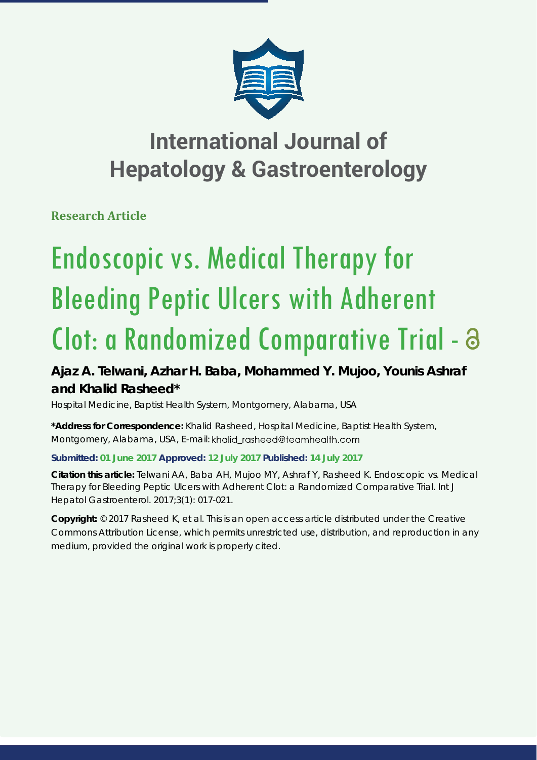

# **International Journal of Hepatology & Gastroenterology**

**Research Article**

# Endoscopic vs. Medical Therapy for Bleeding Peptic Ulcers with Adherent Clot: a Randomized Comparative Trial -

## **Ajaz A. Telwani, Azhar H. Baba, Mohammed Y. Mujoo, Younis Ashraf and Khalid Rasheed\***

*Hospital Medicine, Baptist Health System, Montgomery, Alabama, USA*

**\*Address for Correspondence:** Khalid Rasheed, Hospital Medicine, Baptist Health System, Montgomery, Alabama, USA, E-mail: khalid\_rasheed@teamhealth.com

### **Submitted: 01 June 2017 Approved: 12 July 2017 Published: 14 July 2017**

**Citation this article:** Telwani AA, Baba AH, Mujoo MY, Ashraf Y, Rasheed K. Endoscopic vs. Medical Therapy for Bleeding Peptic Ulcers with Adherent Clot: a Randomized Comparative Trial. Int J Hepatol Gastroenterol. 2017;3(1): 017-021.

**Copyright:** © 2017 Rasheed K, et al. This is an open access article distributed under the Creative Commons Attribution License, which permits unrestricted use, distribution, and reproduction in any medium, provided the original work is properly cited.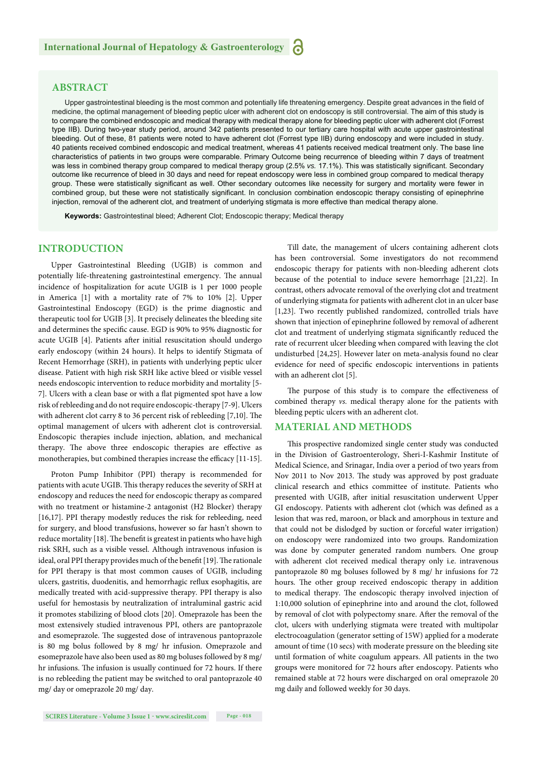#### **ABSTRACT**

Upper gastrointestinal bleeding is the most common and potentially life threatening emergency. Despite great advances in the field of medicine, the optimal management of bleeding peptic ulcer with adherent clot on endoscopy is still controversial. The aim of this study is to compare the combined endoscopic and medical therapy with medical therapy alone for bleeding peptic ulcer with adherent clot (Forrest type IIB). During two-year study period, around 342 patients presented to our tertiary care hospital with acute upper gastrointestinal bleeding. Out of these, 81 patients were noted to have adherent clot (Forrest type IIB) during endoscopy and were included in study. 40 patients received combined endoscopic and medical treatment, whereas 41 patients received medical treatment only. The base line characteristics of patients in two groups were comparable. Primary Outcome being recurrence of bleeding within 7 days of treatment was less in combined therapy group compared to medical therapy group (2.5% vs. 17.1%). This was statistically significant. Secondary outcome like recurrence of bleed in 30 days and need for repeat endoscopy were less in combined group compared to medical therapy group. These were statistically significant as well. Other secondary outcomes like necessity for surgery and mortality were fewer in combined group, but these were not statistically significant. In conclusion combination endoscopic therapy consisting of epinephrine injection, removal of the adherent clot, and treatment of underlying stigmata is more effective than medical therapy alone.

**Keywords:** Gastrointestinal bleed; Adherent Clot; Endoscopic therapy; Medical therapy

#### **INTRODUCTION**

Upper Gastrointestinal Bleeding (UGIB) is common and potentially life-threatening gastrointestinal emergency. The annual incidence of hospitalization for acute UGIB is 1 per 1000 people in America [1] with a mortality rate of 7% to 10% [2]. Upper Gastrointestinal Endoscopy (EGD) is the prime diagnostic and therapeutic tool for UGIB [3]. It precisely delineates the bleeding site and determines the specific cause. EGD is 90% to 95% diagnostic for acute UGIB [4]. Patients after initial resuscitation should undergo early endoscopy (within 24 hours). It helps to identify Stigmata of Recent Hemorrhage (SRH), in patients with underlying peptic ulcer disease. Patient with high risk SRH like active bleed or visible vessel needs endoscopic intervention to reduce morbidity and mortality [5- 7]. Ulcers with a clean base or with a flat pigmented spot have a low risk of rebleeding and do not require endoscopic-therapy [7-9]. Ulcers with adherent clot carry 8 to 36 percent risk of rebleeding [7,10]. The optimal management of ulcers with adherent clot is controversial. Endoscopic therapies include injection, ablation, and mechanical therapy. The above three endoscopic therapies are effective as monotherapies, but combined therapies increase the efficacy [11-15].

Proton Pump Inhibitor (PPI) therapy is recommended for patients with acute UGIB. This therapy reduces the severity of SRH at endoscopy and reduces the need for endoscopic therapy as compared with no treatment or histamine-2 antagonist (H2 Blocker) therapy [16,17]. PPI therapy modestly reduces the risk for rebleeding, need for surgery, and blood transfusions, however so far hasn't shown to reduce mortality [18]. The benefit is greatest in patients who have high risk SRH, such as a visible vessel. Although intravenous infusion is ideal, oral PPI therapy provides much of the benefit [19]. The rationale for PPI therapy is that most common causes of UGIB, including ulcers, gastritis, duodenitis, and hemorrhagic reflux esophagitis, are medically treated with acid-suppressive therapy. PPI therapy is also useful for hemostasis by neutralization of intraluminal gastric acid it promotes stabilizing of blood clots [20]. Omeprazole has been the most extensively studied intravenous PPI, others are pantoprazole and esomeprazole. The suggested dose of intravenous pantoprazole is 80 mg bolus followed by 8 mg/ hr infusion. Omeprazole and esomeprazole have also been used as 80 mg boluses followed by 8 mg/ hr infusions. The infusion is usually continued for 72 hours. If there is no rebleeding the patient may be switched to oral pantoprazole 40 mg/ day or omeprazole 20 mg/ day.

Till date, the management of ulcers containing adherent clots has been controversial. Some investigators do not recommend endoscopic therapy for patients with non-bleeding adherent clots because of the potential to induce severe hemorrhage [21,22]. In contrast, others advocate removal of the overlying clot and treatment of underlying stigmata for patients with adherent clot in an ulcer base [1,23]. Two recently published randomized, controlled trials have shown that injection of epinephrine followed by removal of adherent clot and treatment of underlying stigmata significantly reduced the rate of recurrent ulcer bleeding when compared with leaving the clot undisturbed [24,25]. However later on meta-analysis found no clear evidence for need of specific endoscopic interventions in patients with an adherent clot [5].

The purpose of this study is to compare the effectiveness of combined therapy *vs.* medical therapy alone for the patients with bleeding peptic ulcers with an adherent clot.

#### **MATERIAL AND METHODS**

This prospective randomized single center study was conducted in the Division of Gastroenterology, Sheri-I-Kashmir Institute of Medical Science, and Srinagar, India over a period of two years from Nov 2011 to Nov 2013. The study was approved by post graduate clinical research and ethics committee of institute. Patients who presented with UGIB, after initial resuscitation underwent Upper GI endoscopy. Patients with adherent clot (which was defined as a lesion that was red, maroon, or black and amorphous in texture and that could not be dislodged by suction or forceful water irrigation) on endoscopy were randomized into two groups. Randomization was done by computer generated random numbers. One group with adherent clot received medical therapy only i.e. intravenous pantoprazole 80 mg boluses followed by 8 mg/ hr infusions for 72 hours. The other group received endoscopic therapy in addition to medical therapy. The endoscopic therapy involved injection of 1:10,000 solution of epinephrine into and around the clot, followed by removal of clot with polypectomy snare. After the removal of the clot, ulcers with underlying stigmata were treated with multipolar electrocoagulation (generator setting of 15W) applied for a moderate amount of time (10 secs) with moderate pressure on the bleeding site until formation of white coagulum appears. All patients in the two groups were monitored for 72 hours after endoscopy. Patients who remained stable at 72 hours were discharged on oral omeprazole 20 mg daily and followed weekly for 30 days.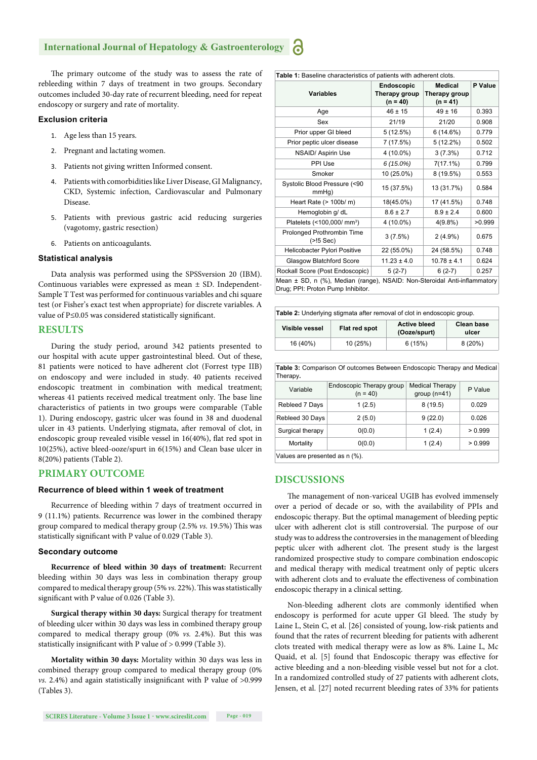#### **International Journal of Hepatology & Gastroenterology**

The primary outcome of the study was to assess the rate of rebleeding within 7 days of treatment in two groups. Secondary outcomes included 30-day rate of recurrent bleeding, need for repeat endoscopy or surgery and rate of mortality.

#### **Exclusion criteria**

- 1. Age less than 15 years.
- 2. Pregnant and lactating women.
- 3. Patients not giving written Informed consent.
- 4. Patients with comorbidities like Liver Disease, GI Malignancy, CKD, Systemic infection, Cardiovascular and Pulmonary Disease.
- 5. Patients with previous gastric acid reducing surgeries (vagotomy, gastric resection)
- 6. Patients on anticoagulants.

#### **Statistical analysis**

Data analysis was performed using the SPSSversion 20 (IBM). Continuous variables were expressed as mean ± SD. Independent-Sample T Test was performed for continuous variables and chi square test (or Fisher's exact test when appropriate) for discrete variables. A value of P≤0.05 was considered statistically significant.

#### **RESULTS**

During the study period, around 342 patients presented to our hospital with acute upper gastrointestinal bleed. Out of these, 81 patients were noticed to have adherent clot (Forrest type IIB) on endoscopy and were included in study. 40 patients received endoscopic treatment in combination with medical treatment; whereas 41 patients received medical treatment only. The base line characteristics of patients in two groups were comparable (Table 1). During endoscopy, gastric ulcer was found in 38 and duodenal ulcer in 43 patients. Underlying stigmata, after removal of clot, in endoscopic group revealed visible vessel in 16(40%), flat red spot in 10(25%), active bleed-ooze/spurt in 6(15%) and Clean base ulcer in 8(20%) patients (Table 2).

#### **PRIMARY OUTCOME**

#### **Recurrence of bleed within 1 week of treatment**

Recurrence of bleeding within 7 days of treatment occurred in 9 (11.1%) patients. Recurrence was lower in the combined therapy group compared to medical therapy group (2.5% *vs.* 19.5%) This was statistically significant with P value of 0.029 (Table 3).

#### **Secondary outcome**

**Recurrence of bleed within 30 days of treatment:** Recurrent bleeding within 30 days was less in combination therapy group compared to medical therapy group (5% *vs.* 22%). This was statistically significant with P value of 0.026 (Table 3).

**Surgical therapy within 30 days:** Surgical therapy for treatment of bleeding ulcer within 30 days was less in combined therapy group compared to medical therapy group (0% *vs.* 2.4%). But this was statistically insignificant with P value of > 0.999 (Table 3).

**Mortality within 30 days:** Mortality within 30 days was less in combined therapy group compared to medical therapy group (0%  $vs.$  2.4%) and again statistically insignificant with P value of  $>0.999$ (Tables 3).

| Table 1: Baseline characteristics of patients with adherent clots.                                            |                                                  |                                               |         |  |  |  |
|---------------------------------------------------------------------------------------------------------------|--------------------------------------------------|-----------------------------------------------|---------|--|--|--|
| <b>Variables</b>                                                                                              | <b>Endoscopic</b><br>Therapy group<br>$(n = 40)$ | <b>Medical</b><br>Therapy group<br>$(n = 41)$ | P Value |  |  |  |
| Age                                                                                                           | $46 \pm 15$                                      | $49 \pm 16$                                   | 0.393   |  |  |  |
| Sex                                                                                                           | 21/19                                            | 21/20                                         | 0.908   |  |  |  |
| Prior upper GI bleed                                                                                          | 5(12.5%)                                         | 6(14.6%)                                      | 0.779   |  |  |  |
| Prior peptic ulcer disease                                                                                    | 7 (17.5%)                                        | $5(12.2\%)$                                   | 0.502   |  |  |  |
| NSAID/ Aspirin Use                                                                                            | 4 (10.0%)                                        | 3(7.3%)                                       | 0.712   |  |  |  |
| PPI Use                                                                                                       | $6(15.0\%)$                                      | $7(17.1\%)$                                   | 0.799   |  |  |  |
| Smoker                                                                                                        | 10 (25.0%)                                       | 8 (19.5%)                                     | 0.553   |  |  |  |
| Systolic Blood Pressure (<90<br>mmHg)                                                                         | 15 (37.5%)                                       | 13 (31.7%)                                    | 0.584   |  |  |  |
| Heart Rate $(> 100b/m)$                                                                                       | 18(45.0%)                                        | 17 (41.5%)                                    | 0.748   |  |  |  |
| Hemoglobin g/ dL                                                                                              | $8.6 \pm 2.7$                                    | $8.9 \pm 2.4$                                 | 0.600   |  |  |  |
| Platelets (<100,000/ mm <sup>3</sup> )                                                                        | 4 (10.0%)                                        | $4(9.8\%)$                                    | >0.999  |  |  |  |
| Prolonged Prothrombin Time<br>$(>15$ Sec)                                                                     | 3(7.5%)                                          | $2(4.9\%)$                                    | 0.675   |  |  |  |
| Helicobacter Pylori Positive                                                                                  | 22 (55.0%)                                       | 24 (58.5%)                                    | 0.748   |  |  |  |
| Glasgow Blatchford Score                                                                                      | $11.23 \pm 4.0$                                  | $10.78 \pm 4.1$                               | 0.624   |  |  |  |
| Rockall Score (Post Endoscopic)                                                                               | $5(2-7)$                                         | $6(2-7)$                                      | 0.257   |  |  |  |
| Mean ± SD, n (%), Median (range), NSAID: Non-Steroidal Anti-inflammatory<br>Drug; PPI: Proton Pump Inhibitor. |                                                  |                                               |         |  |  |  |

**Table 2:** Underlying stigmata after removal of clot in endoscopic group.

| Visible vessel | Flat red spot | <b>Active bleed</b><br>(Ooze/spurt) | Clean base<br>ulcer |
|----------------|---------------|-------------------------------------|---------------------|
| 16 (40%)       | 10 (25%)      | 6(15%)                              | 8(20%)              |

| Table 3: Comparison Of outcomes Between Endoscopic Therapy and Medical<br>Therapy. |                                        |                                          |         |  |  |
|------------------------------------------------------------------------------------|----------------------------------------|------------------------------------------|---------|--|--|
| Variable                                                                           | Endoscopic Therapy group<br>$(n = 40)$ | <b>Medical Therapy</b><br>group $(n=41)$ | P Value |  |  |
| Rebleed 7 Days                                                                     | 1(2.5)                                 | 8(19.5)                                  | 0.029   |  |  |
| Rebleed 30 Days                                                                    | 2(5.0)                                 | 9(22.0)                                  | 0.026   |  |  |
| Surgical therapy                                                                   | 0(0.0)                                 | 1(2.4)                                   | > 0.999 |  |  |

Mortality  $0(0.0)$  1 (2.4)  $> 0.999$ 

**DISCUSSIONS**

Values are presented as n (%).

The management of non-variceal UGIB has evolved immensely over a period of decade or so, with the availability of PPIs and endoscopic therapy. But the optimal management of bleeding peptic ulcer with adherent clot is still controversial. The purpose of our study was to address the controversies in the management of bleeding peptic ulcer with adherent clot. The present study is the largest randomized prospective study to compare combination endoscopic and medical therapy with medical treatment only of peptic ulcers with adherent clots and to evaluate the effectiveness of combination endoscopic therapy in a clinical setting.

Non-bleeding adherent clots are commonly identified when endoscopy is performed for acute upper GI bleed. The study by Laine L, Stein C, et al. [26] consisted of young, low-risk patients and found that the rates of recurrent bleeding for patients with adherent clots treated with medical therapy were as low as 8%. Laine L, Mc Quaid, et al. [5] found that Endoscopic therapy was effective for active bleeding and a non-bleeding visible vessel but not for a clot. In a randomized controlled study of 27 patients with adherent clots, Jensen, et al. [27] noted recurrent bleeding rates of 33% for patients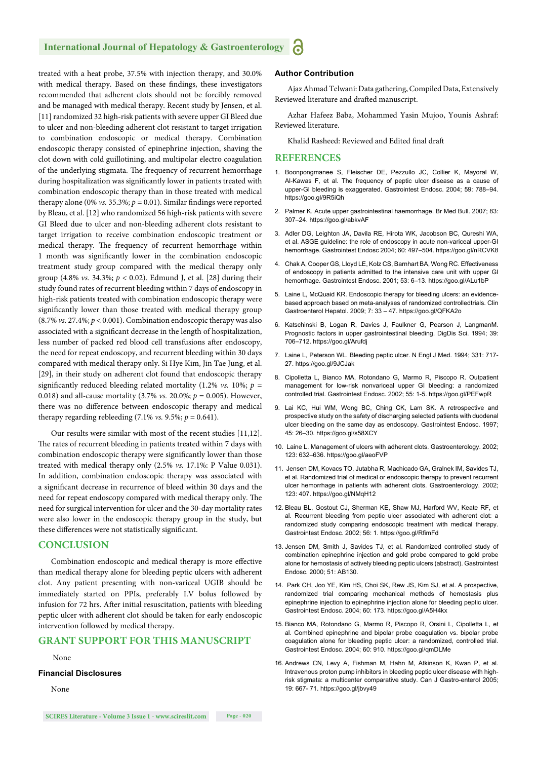#### **International Journal of Hepatology & Gastroenterology**

treated with a heat probe, 37.5% with injection therapy, and 30.0% with medical therapy. Based on these findings, these investigators recommended that adherent clots should not be forcibly removed and be managed with medical therapy. Recent study by Jensen, et al. [11] randomized 32 high-risk patients with severe upper GI Bleed due to ulcer and non-bleeding adherent clot resistant to target irrigation to combination endoscopic or medical therapy. Combination endoscopic therapy consisted of epinephrine injection, shaving the clot down with cold guillotining, and multipolar electro coagulation of the underlying stigmata. The frequency of recurrent hemorrhage during hospitalization was significantly lower in patients treated with combination endoscopic therapy than in those treated with medical therapy alone (0% *vs.* 35.3%;  $p = 0.01$ ). Similar findings were reported by Bleau, et al. [12] who randomized 56 high-risk patients with severe GI Bleed due to ulcer and non-bleeding adherent clots resistant to target irrigation to receive combination endoscopic treatment or medical therapy. The frequency of recurrent hemorrhage within 1 month was significantly lower in the combination endoscopic treatment study group compared with the medical therapy only group (4.8% *vs.* 34.3%; *p* < 0.02). Edmund J, et al. [28] during their study found rates of recurrent bleeding within 7 days of endoscopy in high-risk patients treated with combination endoscopic therapy were significantly lower than those treated with medical therapy group (8.7% *vs.* 27.4%; *p* < 0.001). Combination endoscopic therapy was also associated with a significant decrease in the length of hospitalization, less number of packed red blood cell transfusions after endoscopy, the need for repeat endoscopy, and recurrent bleeding within 30 days compared with medical therapy only. Si Hye Kim, Jin Tae Jung, et al. [29], in their study on adherent clot found that endoscopic therapy significantly reduced bleeding related mortality (1.2%  $vs.$  10%;  $p =$ 0.018) and all-cause mortality (3.7% *vs.* 20.0%; *p* = 0.005). However, there was no difference between endoscopic therapy and medical therapy regarding rebleeding  $(7.1\% \text{ vs. } 9.5\%; p = 0.641)$ .

Our results were similar with most of the recent studies [11,12]. The rates of recurrent bleeding in patients treated within 7 days with combination endoscopic therapy were significantly lower than those treated with medical therapy only (2.5% *vs.* 17.1%: P Value 0.031). In addition, combination endoscopic therapy was associated with a significant decrease in recurrence of bleed within 30 days and the need for repeat endoscopy compared with medical therapy only. The need for surgical intervention for ulcer and the 30-day mortality rates were also lower in the endoscopic therapy group in the study, but these differences were not statistically significant.

#### **CONCLUSION**

Combination endoscopic and medical therapy is more effective than medical therapy alone for bleeding peptic ulcers with adherent clot. Any patient presenting with non-variceal UGIB should be immediately started on PPIs, preferably I.V bolus followed by infusion for 72 hrs. After initial resuscitation, patients with bleeding peptic ulcer with adherent clot should be taken for early endoscopic intervention followed by medical therapy.

#### **GRANT SUPPORT FOR THIS MANUSCRIPT**

#### None

#### **Financial Disclosures**

None

#### **Author Contribution**

Ajaz Ahmad Telwani: Data gathering, Compiled Data, Extensively Reviewed literature and drafted manuscript.

Azhar Hafeez Baba, Mohammed Yasin Mujoo, Younis Ashraf: Reviewed literature.

Khalid Rasheed: Reviewed and Edited final draft

#### **REFERENCES**

- 1. Boonpongmanee S, Fleischer DE, Pezzullo JC, Collier K, Mayoral W, Al-Kawas F, et al. The frequency of peptic ulcer disease as a cause of upper-GI bleeding is exaggerated. Gastrointest Endosc. 2004; 59: 788–94. https://goo.gl/9R5iQh
- 2. Palmer K. Acute upper gastrointestinal haemorrhage. Br Med Bull. 2007; 83: 307–24. https://goo.gl/abkvAF
- 3. Adler DG, Leighton JA, Davila RE, Hirota WK, Jacobson BC, Qureshi WA, et al. ASGE guideline: the role of endoscopy in acute non-variceal upper-GI hemorrhage. Gastrointest Endosc 2004; 60: 497–504. https://goo.gl/nRCVK8
- 4. Chak A, Cooper GS, Lloyd LE, Kolz CS, Barnhart BA, Wong RC. Effectiveness of endoscopy in patients admitted to the intensive care unit with upper GI hemorrhage. Gastrointest Endosc. 2001; 53: 6–13. https://goo.gl/ALu1bP
- 5. Laine L, McQuaid KR. Endoscopic therapy for bleeding ulcers: an evidencebased approach based on meta-analyses of randomized controlledtrials. Clin Gastroenterol Hepatol. 2009; 7: 33 – 47. https://goo.gl/QFKA2o
- 6. Katschinski B, Logan R, Davies J, Faulkner G, Pearson J, LangmanM. Prognostic factors in upper gastrointestinal bleeding. DigDis Sci. 1994; 39: 706–712. https://goo.gl/Arufdj
- 7. Laine L, Peterson WL. Bleeding peptic ulcer. N Engl J Med. 1994; 331: 717- 27. https://goo.gl/9JCJak
- 8. Cipolletta L, Bianco MA, Rotondano G, Marmo R, Piscopo R. Outpatient management for low-risk nonvariceal upper GI bleeding: a randomized controlled trial. Gastrointest Endosc. 2002; 55: 1-5. https://goo.gl/PEFwpR
- 9. Lai KC, Hui WM, Wong BC, Ching CK, Lam SK. A retrospective and prospective study on the safety of discharging selected patients with duodenal ulcer bleeding on the same day as endoscopy. Gastrointest Endosc. 1997; 45: 26–30. https://goo.gl/s58XCY
- 10. Laine L. Management of ulcers with adherent clots. Gastroenterology. 2002; 123: 632–636. https://goo.gl/aeoFVP
- 11. Jensen DM, Kovacs TO, Jutabha R, Machicado GA, Gralnek IM, Savides TJ, et al. Randomized trial of medical or endoscopic therapy to prevent recurrent ulcer hemorrhage in patients with adherent clots. Gastroenterology. 2002; 123: 407. https://goo.gl/NMqH12
- 12. Bleau BL, Gostout CJ, Sherman KE, Shaw MJ, Harford WV, Keate RF, et al. Recurrent bleeding from peptic ulcer associated with adherent clot: a randomized study comparing endoscopic treatment with medical therapy. Gastrointest Endosc. 2002; 56: 1. https://goo.gl/RfimFd
- 13. Jensen DM, Smith J, Savides TJ, et al. Randomized controlled study of combination epinephrine injection and gold probe compared to gold probe alone for hemostasis of actively bleeding peptic ulcers (abstract). Gastrointest Endosc. 2000; 51: AB130.
- 14. Park CH, Joo YE, Kim HS, Choi SK, Rew JS, Kim SJ, et al. A prospective, randomized trial comparing mechanical methods of hemostasis plus epinephrine injection to epinephrine injection alone for bleeding peptic ulcer. Gastrointest Endosc. 2004; 60: 173. https://goo.gl/A5H4kx
- 15. Bianco MA, Rotondano G, Marmo R, Piscopo R, Orsini L, Cipolletta L, et al. Combined epinephrine and bipolar probe coagulation vs. bipolar probe coagulation alone for bleeding peptic ulcer: a randomized, controlled trial. Gastrointest Endosc. 2004; 60: 910. https://goo.gl/qmDLMe
- 16. Andrews CN, Levy A, Fishman M, Hahn M, Atkinson K, Kwan P, et al. Intravenous proton pump inhibitors in bleeding peptic ulcer disease with highrisk stigmata: a multicenter comparative study. Can J Gastro-enterol 2005; 19: 667- 71. https://goo.gl/jbvy49